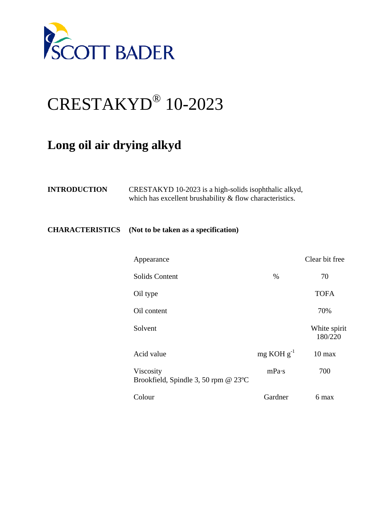

## CRESTAKYD® 10-2023

## **Long oil air drying alkyd**

| <b>INTRODUCTION</b> | CRESTAKYD 10-2023 is a high-solids isophthalic alkyd,      |
|---------------------|------------------------------------------------------------|
|                     | which has excellent brushability $&$ flow characteristics. |

## **CHARACTERISTICS (Not to be taken as a specification)**

| Appearance                                        |                 | Clear bit free          |
|---------------------------------------------------|-----------------|-------------------------|
| <b>Solids Content</b>                             | $\%$            | 70                      |
| Oil type                                          |                 | <b>TOFA</b>             |
| Oil content                                       |                 | 70%                     |
| Solvent                                           |                 | White spirit<br>180/220 |
| Acid value                                        | $mg KOH g^{-1}$ | $10$ max                |
| Viscosity<br>Brookfield, Spindle 3, 50 rpm @ 23°C | mPa·s           | 700                     |
| Colour                                            | Gardner         | 6 max                   |